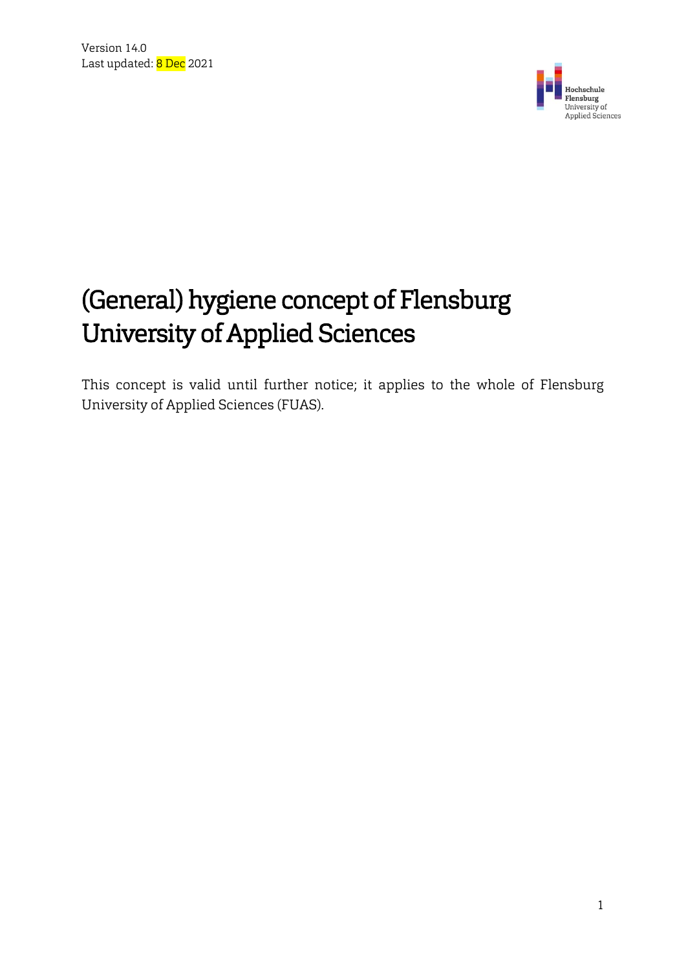

# (General) hygiene concept of Flensburg University of Applied Sciences

This concept is valid until further notice; it applies to the whole of Flensburg University of Applied Sciences (FUAS).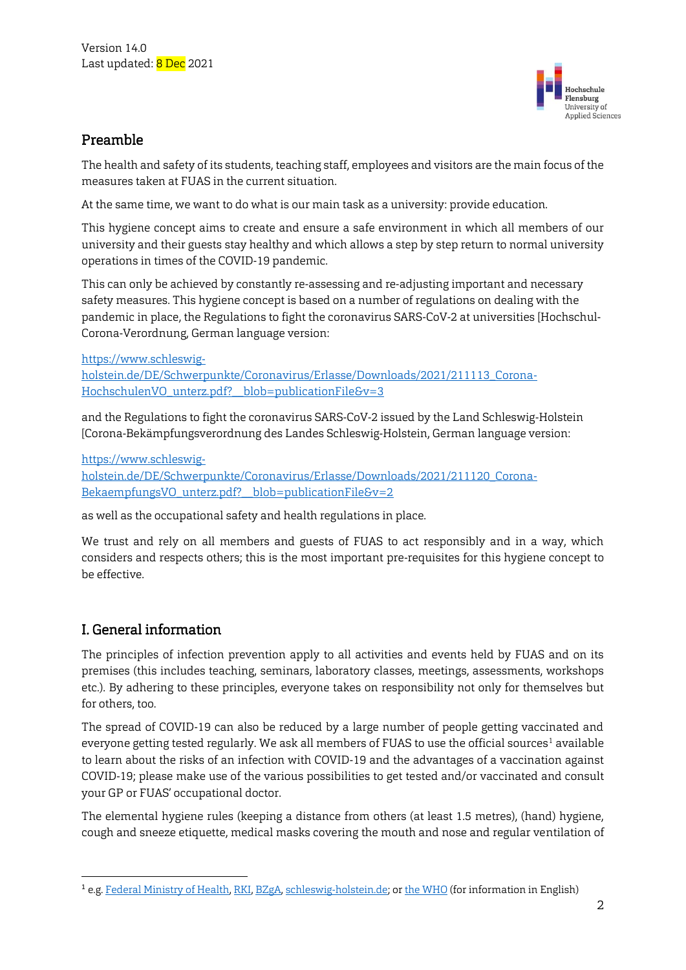

#### Preamble

The health and safety of its students, teaching staff, employees and visitors are the main focus of the measures taken at FUAS in the current situation.

At the same time, we want to do what is our main task as a university: provide education.

This hygiene concept aims to create and ensure a safe environment in which all members of our university and their guests stay healthy and which allows a step by step return to normal university operations in times of the COVID-19 pandemic.

This can only be achieved by constantly re-assessing and re-adjusting important and necessary safety measures. This hygiene concept is based on a number of regulations on dealing with the pandemic in place, the Regulations to fight the coronavirus SARS-CoV-2 at universities [Hochschul-Corona-Verordnung, German language version:

[https://www.schleswig](https://www.schleswig-holstein.de/DE/Schwerpunkte/Coronavirus/Erlasse/Downloads/2021/211113_Corona-HochschulenVO_unterz.pdf?__blob=publicationFile&amp;v=3)[holstein.de/DE/Schwerpunkte/Coronavirus/Erlasse/Downloads/2021/211113\\_Corona-](https://www.schleswig-holstein.de/DE/Schwerpunkte/Coronavirus/Erlasse/Downloads/2021/211113_Corona-HochschulenVO_unterz.pdf?__blob=publicationFile&amp;v=3)[HochschulenVO\\_unterz.pdf?\\_\\_blob=publicationFile&v=3](https://www.schleswig-holstein.de/DE/Schwerpunkte/Coronavirus/Erlasse/Downloads/2021/211113_Corona-HochschulenVO_unterz.pdf?__blob=publicationFile&amp;v=3)

and the Regulations to fight the coronavirus SARS-CoV-2 issued by the Land Schleswig-Holstein [Corona-Bekämpfungsverordnung des Landes Schleswig-Holstein, German language version:

[https://www.schleswig-](https://www.schleswig-holstein.de/DE/Schwerpunkte/Coronavirus/Erlasse/Downloads/2021/211120_Corona-BekaempfungsVO_unterz.pdf?__blob=publicationFile&amp;v=2)

[holstein.de/DE/Schwerpunkte/Coronavirus/Erlasse/Downloads/2021/211120\\_Corona-](https://www.schleswig-holstein.de/DE/Schwerpunkte/Coronavirus/Erlasse/Downloads/2021/211120_Corona-BekaempfungsVO_unterz.pdf?__blob=publicationFile&amp;v=2)[BekaempfungsVO\\_unterz.pdf?\\_\\_blob=publicationFile&v=2](https://www.schleswig-holstein.de/DE/Schwerpunkte/Coronavirus/Erlasse/Downloads/2021/211120_Corona-BekaempfungsVO_unterz.pdf?__blob=publicationFile&amp;v=2)

as well as the occupational safety and health regulations in place.

We trust and rely on all members and guests of FUAS to act responsibly and in a way, which considers and respects others; this is the most important pre-requisites for this hygiene concept to be effective.

# I. General information

 $\overline{a}$ 

The principles of infection prevention apply to all activities and events held by FUAS and on its premises (this includes teaching, seminars, laboratory classes, meetings, assessments, workshops etc.). By adhering to these principles, everyone takes on responsibility not only for themselves but for others, too.

The spread of COVID-19 can also be reduced by a large number of people getting vaccinated and everyone getting tested regularly. We ask all members of FUAS to use the official sources<sup>1</sup> available to learn about the risks of an infection with COVID-19 and the advantages of a vaccination against COVID-19; please make use of the various possibilities to get tested and/or vaccinated and consult your GP or FUAS' occupational doctor.

The elemental hygiene rules (keeping a distance from others (at least 1.5 metres), (hand) hygiene, cough and sneeze etiquette, medical masks covering the mouth and nose and regular ventilation of

<sup>1</sup> e.g[. Federal Ministry of Health,](https://www.bundesgesundheitsministerium.de/coronavirus/faq-covid-19-impfung.html) [RKI,](https://www.rki.de/DE/Content/InfAZ/N/Neuartiges_Coronavirus/nCoV_node.html) [BZgA,](https://www.infektionsschutz.de/coronavirus/) [schleswig-holstein.de;](https://www.schleswig-holstein.de/DE/Schwerpunkte/Coronavirus/FAQ/Dossier/Allgemeines_Verwaltung.html) o[r the WHO](https://www.who.int/westernpacific/emergencies/covid-19/information/covid-19-testing) (for information in English)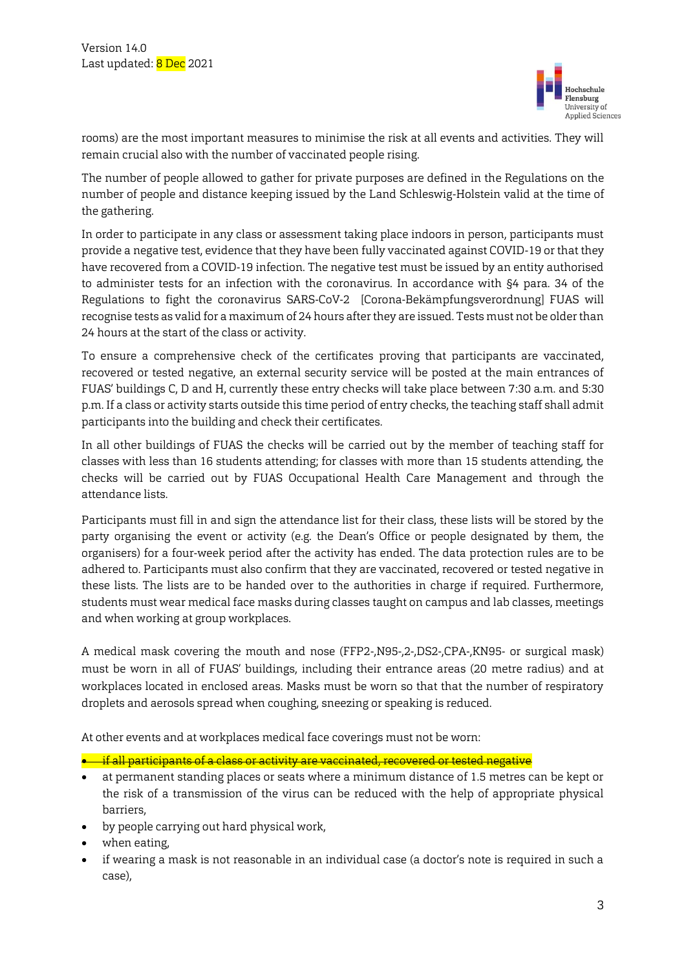

rooms) are the most important measures to minimise the risk at all events and activities. They will remain crucial also with the number of vaccinated people rising.

The number of people allowed to gather for private purposes are defined in the Regulations on the number of people and distance keeping issued by the Land Schleswig-Holstein valid at the time of the gathering.

In order to participate in any class or assessment taking place indoors in person, participants must provide a negative test, evidence that they have been fully vaccinated against COVID-19 or that they have recovered from a COVID-19 infection. The negative test must be issued by an entity authorised to administer tests for an infection with the coronavirus. In accordance with §4 para. 34 of the Regulations to fight the coronavirus SARS-CoV-2 [Corona-Bekämpfungsverordnung] FUAS will recognise tests as valid for a maximum of 24 hours after they are issued. Tests must not be older than 24 hours at the start of the class or activity.

To ensure a comprehensive check of the certificates proving that participants are vaccinated, recovered or tested negative, an external security service will be posted at the main entrances of FUAS' buildings C, D and H, currently these entry checks will take place between 7:30 a.m. and 5:30 p.m. If a class or activity starts outside this time period of entry checks, the teaching staff shall admit participants into the building and check their certificates.

In all other buildings of FUAS the checks will be carried out by the member of teaching staff for classes with less than 16 students attending; for classes with more than 15 students attending, the checks will be carried out by FUAS Occupational Health Care Management and through the attendance lists.

Participants must fill in and sign the attendance list for their class, these lists will be stored by the party organising the event or activity (e.g. the Dean's Office or people designated by them, the organisers) for a four-week period after the activity has ended. The data protection rules are to be adhered to. Participants must also confirm that they are vaccinated, recovered or tested negative in these lists. The lists are to be handed over to the authorities in charge if required. Furthermore, students must wear medical face masks during classes taught on campus and lab classes, meetings and when working at group workplaces.

A medical mask covering the mouth and nose (FFP2-,N95-,2-,DS2-,CPA-,KN95- or surgical mask) must be worn in all of FUAS' buildings, including their entrance areas (20 metre radius) and at workplaces located in enclosed areas. Masks must be worn so that that the number of respiratory droplets and aerosols spread when coughing, sneezing or speaking is reduced.

At other events and at workplaces medical face coverings must not be worn:

 $\bullet$  if all participants of a class or activity are vaccinated, recovered or tested negative

- at permanent standing places or seats where a minimum distance of 1.5 metres can be kept or the risk of a transmission of the virus can be reduced with the help of appropriate physical barriers,
- by people carrying out hard physical work,
- when eating,
- if wearing a mask is not reasonable in an individual case (a doctor's note is required in such a case),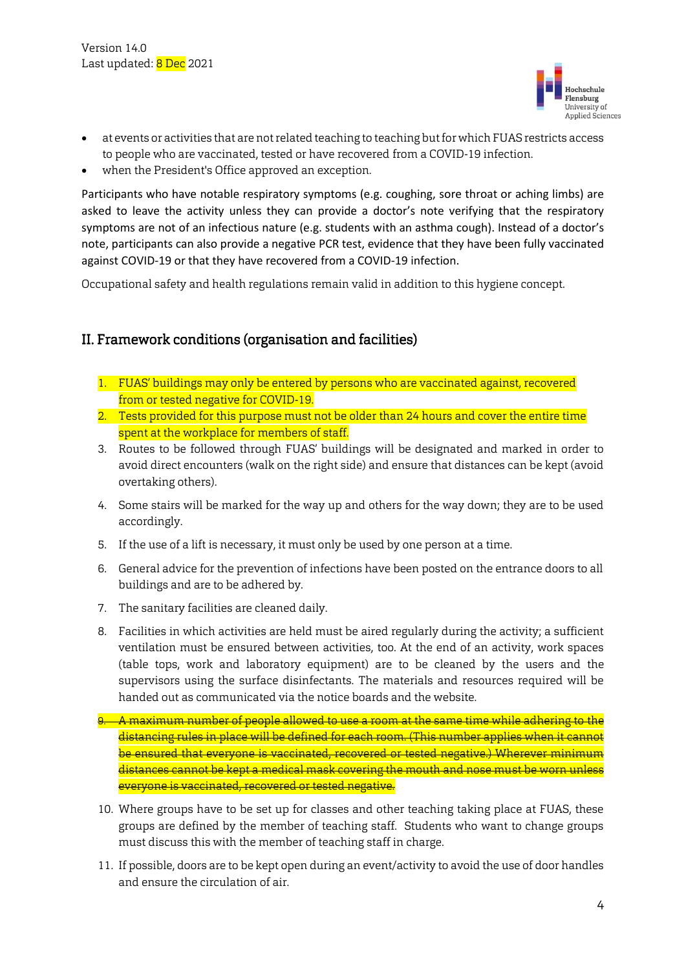

- at events or activities that are not related teaching to teaching but for which FUAS restricts access to people who are vaccinated, tested or have recovered from a COVID-19 infection.
- when the President's Office approved an exception.

Participants who have notable respiratory symptoms (e.g. coughing, sore throat or aching limbs) are asked to leave the activity unless they can provide a doctor's note verifying that the respiratory symptoms are not of an infectious nature (e.g. students with an asthma cough). Instead of a doctor's note, participants can also provide a negative PCR test, evidence that they have been fully vaccinated against COVID-19 or that they have recovered from a COVID-19 infection.

Occupational safety and health regulations remain valid in addition to this hygiene concept.

## II. Framework conditions (organisation and facilities)

- 1. FUAS' buildings may only be entered by persons who are vaccinated against, recovered from or tested negative for COVID-19.
- 2. Tests provided for this purpose must not be older than 24 hours and cover the entire time spent at the workplace for members of staff.
- 3. Routes to be followed through FUAS' buildings will be designated and marked in order to avoid direct encounters (walk on the right side) and ensure that distances can be kept (avoid overtaking others).
- 4. Some stairs will be marked for the way up and others for the way down; they are to be used accordingly.
- 5. If the use of a lift is necessary, it must only be used by one person at a time.
- 6. General advice for the prevention of infections have been posted on the entrance doors to all buildings and are to be adhered by.
- 7. The sanitary facilities are cleaned daily.
- 8. Facilities in which activities are held must be aired regularly during the activity; a sufficient ventilation must be ensured between activities, too. At the end of an activity, work spaces (table tops, work and laboratory equipment) are to be cleaned by the users and the supervisors using the surface disinfectants. The materials and resources required will be handed out as communicated via the notice boards and the website.
- 9. A maximum number of people allowed to use a room at the same time while adhering to the distancing rules in place will be defined for each room. (This number applies when it cannot be ensured that everyone is vaccinated, recovered or tested negative.) Wherever minimum distances cannot be kept a medical mask covering the mouth and nose must be worn unless everyone is vaccinated, recovered or tested negative.
- 10. Where groups have to be set up for classes and other teaching taking place at FUAS, these groups are defined by the member of teaching staff. Students who want to change groups must discuss this with the member of teaching staff in charge.
- 11. If possible, doors are to be kept open during an event/activity to avoid the use of door handles and ensure the circulation of air.